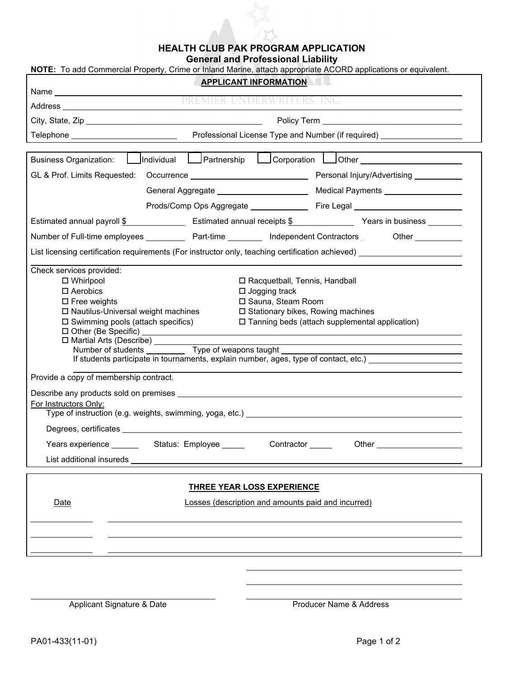## **HEALTH CLUB PAK PROGRAM APPLICATION**

**General and Professional Liability** 

| NOTE: To add Commercial Property, Crime or Inland Marine, attach appropriate ACORD applications or equivalent.                                                                                                                                                                                                                                                                                                                                                                                                                           |  |                                                                                                                                                                                                                                      |  |                                       |
|------------------------------------------------------------------------------------------------------------------------------------------------------------------------------------------------------------------------------------------------------------------------------------------------------------------------------------------------------------------------------------------------------------------------------------------------------------------------------------------------------------------------------------------|--|--------------------------------------------------------------------------------------------------------------------------------------------------------------------------------------------------------------------------------------|--|---------------------------------------|
| <b>APPLICANT INFORMATION</b>                                                                                                                                                                                                                                                                                                                                                                                                                                                                                                             |  |                                                                                                                                                                                                                                      |  |                                       |
|                                                                                                                                                                                                                                                                                                                                                                                                                                                                                                                                          |  |                                                                                                                                                                                                                                      |  |                                       |
|                                                                                                                                                                                                                                                                                                                                                                                                                                                                                                                                          |  |                                                                                                                                                                                                                                      |  |                                       |
|                                                                                                                                                                                                                                                                                                                                                                                                                                                                                                                                          |  |                                                                                                                                                                                                                                      |  |                                       |
|                                                                                                                                                                                                                                                                                                                                                                                                                                                                                                                                          |  |                                                                                                                                                                                                                                      |  |                                       |
| <b>Business Organization:</b>                                                                                                                                                                                                                                                                                                                                                                                                                                                                                                            |  |                                                                                                                                                                                                                                      |  |                                       |
|                                                                                                                                                                                                                                                                                                                                                                                                                                                                                                                                          |  |                                                                                                                                                                                                                                      |  |                                       |
|                                                                                                                                                                                                                                                                                                                                                                                                                                                                                                                                          |  | General Aggregate <b>Constanting Contract Constanting Constanting Constanting Constanting Constanting Constanting Constanting Constanting Constanting Constanting Constanting Constanting Constanting Constanting Constanting Co</b> |  | Medical Payments ____________________ |
|                                                                                                                                                                                                                                                                                                                                                                                                                                                                                                                                          |  |                                                                                                                                                                                                                                      |  |                                       |
| Estimated annual payroll \$ [100] Estimated annual receipts \$ [100] Years in business [100] Years in business [200] Nearly 100 and 100 and 100 and 100 and 100 and 100 and 100 and 100 and 100 and 100 and 100 and 100 and 100                                                                                                                                                                                                                                                                                                          |  |                                                                                                                                                                                                                                      |  |                                       |
| Number of Full-time employees ______________ Part-time ___________ Independent Contractors ___________________                                                                                                                                                                                                                                                                                                                                                                                                                           |  |                                                                                                                                                                                                                                      |  |                                       |
| List licensing certification requirements (For instructor only, teaching certification achieved) _______________                                                                                                                                                                                                                                                                                                                                                                                                                         |  |                                                                                                                                                                                                                                      |  |                                       |
| Check services provided:<br>$\Box$ Whirlpool<br>□ Racquetball, Tennis, Handball<br>$\square$ Aerobics<br>$\Box$ Jogging track<br>□ Sauna, Steam Room<br>$\square$ Free weights<br>□ Nautilus-Universal weight machines<br>□ Stationary bikes, Rowing machines<br>$\square$ Swimming pools (attach specifics)<br>□ Tanning beds (attach supplemental application)<br>□ Martial Arts (Describe)<br>Number of students Type of weapons taught<br>If students participate in tournaments, explain number, ages, type of contact, etc.) [164] |  |                                                                                                                                                                                                                                      |  |                                       |
| Provide a copy of membership contract.                                                                                                                                                                                                                                                                                                                                                                                                                                                                                                   |  |                                                                                                                                                                                                                                      |  |                                       |
| For Instructors Only:<br>Degrees, certificates ____________                                                                                                                                                                                                                                                                                                                                                                                                                                                                              |  |                                                                                                                                                                                                                                      |  |                                       |
| Years experience _________ Status: Employee ______<br>Contractor _____                                                                                                                                                                                                                                                                                                                                                                                                                                                                   |  |                                                                                                                                                                                                                                      |  |                                       |
|                                                                                                                                                                                                                                                                                                                                                                                                                                                                                                                                          |  |                                                                                                                                                                                                                                      |  |                                       |
| <b>THREE YEAR LOSS EXPERIENCE</b><br>Losses (description and amounts paid and incurred)<br>Date                                                                                                                                                                                                                                                                                                                                                                                                                                          |  |                                                                                                                                                                                                                                      |  |                                       |
|                                                                                                                                                                                                                                                                                                                                                                                                                                                                                                                                          |  |                                                                                                                                                                                                                                      |  |                                       |
|                                                                                                                                                                                                                                                                                                                                                                                                                                                                                                                                          |  |                                                                                                                                                                                                                                      |  |                                       |

Applicant Signature & Date **Producer Name & Address**